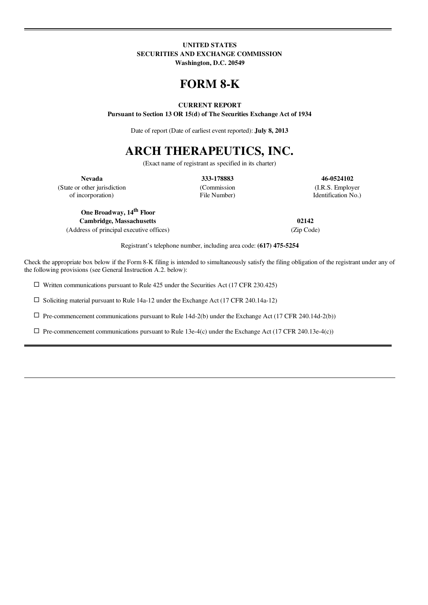### UNITED STATES SECURITIES AND EXCHANGE COMMISSION

Washington, D.C. 20549

## FORM 8-K

#### CURRENT REPORT

Pursuant to Section 13 OR 15(d) of The Securities Exchange Act of 1934

Date of report (Date of earliest event reported): **July 8, 2013** 

# ARCH THERAPEUTICS, INC.

(Exact name of registrant as specified in its charter)

Nevada 333-178883 46-0524102

(State or other jurisdiction (Commission (I.R.S. Employer of incorporation) File Number) Identification No.)

One Broadway, 14<sup>th</sup> Floor Cambridge, Massachusetts 02142

(Address of principal executive offices) (Zip Code)

Registrant's telephone number, including area code: (617) 475-5254

Check the appropriate box below if the Form 8-K filing is intended to simultaneously satisfy the filing obligation of the registrant under any of the following provisions (see General Instruction A.2. below):

 $\square$  Written communications pursuant to Rule 425 under the Securities Act (17 CFR 230.425)

 $\Box$  Soliciting material pursuant to Rule 14a-12 under the Exchange Act (17 CFR 240.14a-12)

 $\Box$  Pre-commencement communications pursuant to Rule 14d-2(b) under the Exchange Act (17 CFR 240.14d-2(b))

 $\square$  Pre-commencement communications pursuant to Rule 13e-4(c) under the Exchange Act (17 CFR 240.13e-4(c))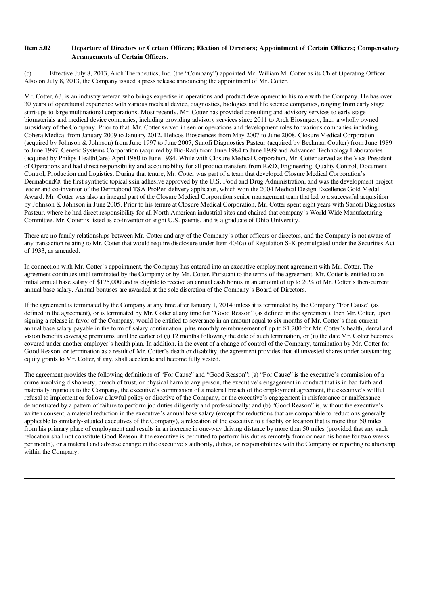#### Item 5.02 Departure of Directors or Certain Officers; Election of Directors; Appointment of Certain Officers; Compensatory Arrangements of Certain Officers.

(c) Effective July 8, 2013, Arch Therapeutics, Inc. (the "Company") appointed Mr. William M. Cotter as its Chief Operating Officer. Also on July 8, 2013, the Company issued a press release announcing the appointment of Mr. Cotter.

Mr. Cotter, 63, is an industry veteran who brings expertise in operations and product development to his role with the Company. He has over 30 years of operational experience with various medical device, diagnostics, biologics and life science companies, ranging from early stage start-ups to large multinational corporations. Most recently, Mr. Cotter has provided consulting and advisory services to early stage biomaterials and medical device companies, including providing advisory services since 2011 to Arch Biosurgery, Inc., a wholly owned subsidiary of the Company. Prior to that, Mr. Cotter served in senior operations and development roles for various companies including Cohera Medical from January 2009 to January 2012, Helicos Biosciences from May 2007 to June 2008, Closure Medical Corporation (acquired by Johnson & Johnson) from June 1997 to June 2007, Sanofi Diagnostics Pasteur (acquired by Beckman Coulter) from June 1989 to June 1997, Genetic Systems Corporation (acquired by Bio-Rad) from June 1984 to June 1989 and Advanced Technology Laboratories (acquired by Philips HealthCare) April 1980 to June 1984. While with Closure Medical Corporation, Mr. Cotter served as the Vice President of Operations and had direct responsibility and accountability for all product transfers from R&D, Engineering, Quality Control, Document Control, Production and Logistics. During that tenure, Mr. Cotter was part of a team that developed Closure Medical Corporation's Dermabond®, the first synthetic topical skin adhesive approved by the U.S. Food and Drug Administration, and was the development project leader and co-inventor of the Dermabond TSA ProPen delivery applicator, which won the 2004 Medical Design Excellence Gold Medal Award. Mr. Cotter was also an integral part of the Closure Medical Corporation senior management team that led to a successful acquisition by Johnson & Johnson in June 2005. Prior to his tenure at Closure Medical Corporation, Mr. Cotter spent eight years with Sanofi Diagnostics Pasteur, where he had direct responsibility for all North American industrial sites and chaired that company's World Wide Manufacturing Committee. Mr. Cotter is listed as co-inventor on eight U.S. patents, and is a graduate of Ohio University.

There are no family relationships between Mr. Cotter and any of the Company's other officers or directors, and the Company is not aware of any transaction relating to Mr. Cotter that would require disclosure under Item 404(a) of Regulation S-K promulgated under the Securities Act of 1933, as amended.

In connection with Mr. Cotter's appointment, the Company has entered into an executive employment agreement with Mr. Cotter. The agreement continues until terminated by the Company or by Mr. Cotter. Pursuant to the terms of the agreement, Mr. Cotter is entitled to an initial annual base salary of \$175,000 and is eligible to receive an annual cash bonus in an amount of up to 20% of Mr. Cotter's then-current annual base salary. Annual bonuses are awarded at the sole discretion of the Company's Board of Directors.

If the agreement is terminated by the Company at any time after January 1, 2014 unless it is terminated by the Company "For Cause" (as defined in the agreement), or is terminated by Mr. Cotter at any time for "Good Reason" (as defined in the agreement), then Mr. Cotter, upon signing a release in favor of the Company, would be entitled to severance in an amount equal to six months of Mr. Cotter's then-current annual base salary payable in the form of salary continuation, plus monthly reimbursement of up to \$1,200 for Mr. Cotter's health, dental and vision benefits coverage premiums until the earlier of (i) 12 months following the date of such termination, or (ii) the date Mr. Cotter becomes covered under another employer's health plan. In addition, in the event of a change of control of the Company, termination by Mr. Cotter for Good Reason, or termination as a result of Mr. Cotter's death or disability, the agreement provides that all unvested shares under outstanding equity grants to Mr. Cotter, if any, shall accelerate and become fully vested.

The agreement provides the following definitions of "For Cause" and "Good Reason": (a) "For Cause" is the executive's commission of a crime involving dishonesty, breach of trust, or physical harm to any person, the executive's engagement in conduct that is in bad faith and materially injurious to the Company, the executive's commission of a material breach of the employment agreement, the executive's willful refusal to implement or follow a lawful policy or directive of the Company, or the executive's engagement in misfeasance or malfeasance demonstrated by a pattern of failure to perform job duties diligently and professionally; and (b) "Good Reason" is, without the executive's written consent, a material reduction in the executive's annual base salary (except for reductions that are comparable to reductions generally applicable to similarly-situated executives of the Company), a relocation of the executive to a facility or location that is more than 50 miles from his primary place of employment and results in an increase in one-way driving distance by more than 50 miles (provided that any such relocation shall not constitute Good Reason if the executive is permitted to perform his duties remotely from or near his home for two weeks per month), or a material and adverse change in the executive's authority, duties, or responsibilities with the Company or reporting relationship within the Company.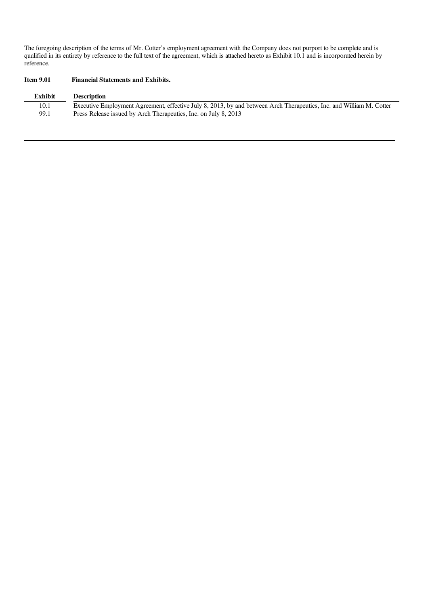The foregoing description of the terms of Mr. Cotter's employment agreement with the Company does not purport to be complete and is qualified in its entirety by reference to the full text of the agreement, which is attached hereto as Exhibit 10.1 and is incorporated herein by reference.

#### Item 9.01 Financial Statements and Exhibits.

| <b>Exhibit</b> | <b>Description</b>                                                                                                   |
|----------------|----------------------------------------------------------------------------------------------------------------------|
| 10.1           | Executive Employment Agreement, effective July 8, 2013, by and between Arch Therapeutics, Inc. and William M. Cotter |
| 99.1           | Press Release issued by Arch Therapeutics, Inc. on July 8, 2013                                                      |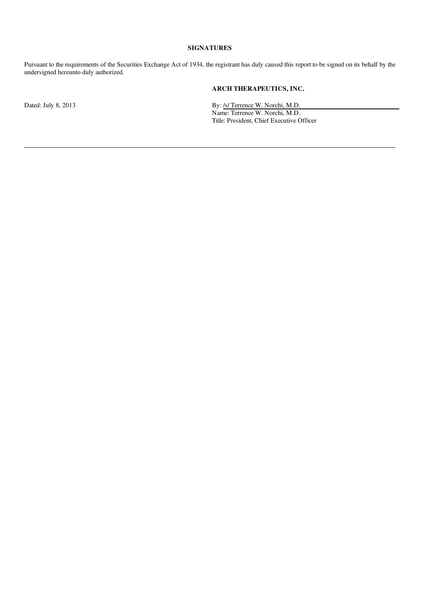#### SIGNATURES

Pursuant to the requirements of the Securities Exchange Act of 1934, the registrant has duly caused this report to be signed on its behalf by the undersigned hereunto duly authorized.

#### ARCH THERAPEUTICS, INC.

Dated: July 8, 2013 **By:** /s/ Terrence W. Norchi, M.D.

Name: Terrence W. Norchi, M.D. Title: President, Chief Executive Officer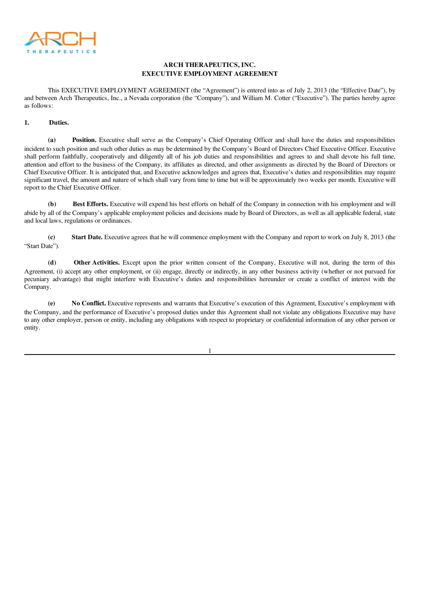

#### ARCH THERAPEUTICS, INC. EXECUTIVE EMPLOYMENT AGREEMENT

This EXECUTIVE EMPLOYMENT AGREEMENT (the "Agreement") is entered into as of July 2, 2013 (the "Effective Date"), by and between Arch Therapeutics, Inc., a Nevada corporation (the "Company"), and William M. Cotter ("Executive"). The parties hereby agree as follows:

#### 1. Duties.

(a) Position. Executive shall serve as the Company's Chief Operating Officer and shall have the duties and responsibilities incident to such position and such other duties as may be determined by the Company's Board of Directors Chief Executive Officer. Executive shall perform faithfully, cooperatively and diligently all of his job duties and responsibilities and agrees to and shall devote his full time, attention and effort to the business of the Company, its affiliates as directed, and other assignments as directed by the Board of Directors or Chief Executive Officer. It is anticipated that, and Executive acknowledges and agrees that, Executive's duties and responsibilities may require significant travel, the amount and nature of which shall vary from time to time but will be approximately two weeks per month. Executive will report to the Chief Executive Officer.

(b) Best Efforts. Executive will expend his best efforts on behalf of the Company in connection with his employment and will abide by all of the Company's applicable employment policies and decisions made by Board of Directors, as well as all applicable federal, state and local laws, regulations or ordinances.

(c) Start Date. Executive agrees that he will commence employment with the Company and report to work on July 8, 2013 (the "Start Date").

(d) Other Activities. Except upon the prior written consent of the Company, Executive will not, during the term of this Agreement, (i) accept any other employment, or (ii) engage, directly or indirectly, in any other business activity (whether or not pursued for pecuniary advantage) that might interfere with Executive's duties and responsibilities hereunder or create a conflict of interest with the Company.

(e) No Conflict. Executive represents and warrants that Executive's execution of this Agreement, Executive's employment with the Company, and the performance of Executive's proposed duties under this Agreement shall not violate any obligations Executive may have to any other employer, person or entity, including any obligations with respect to proprietary or confidential information of any other person or entity.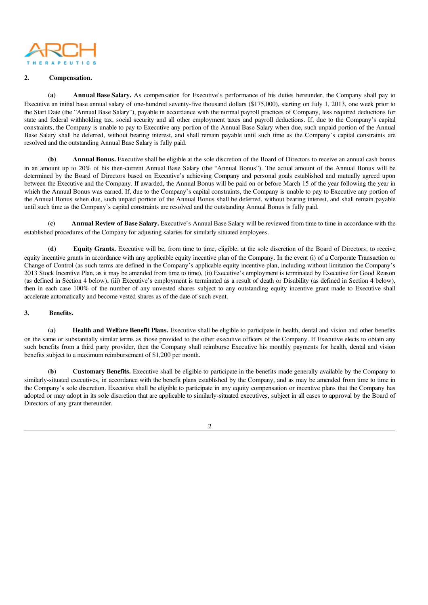

#### 2. Compensation.

(a) Annual Base Salary. As compensation for Executive's performance of his duties hereunder, the Company shall pay to Executive an initial base annual salary of one-hundred seventy-five thousand dollars (\$175,000), starting on July 1, 2013, one week prior to the Start Date (the "Annual Base Salary"), payable in accordance with the normal payroll practices of Company, less required deductions for state and federal withholding tax, social security and all other employment taxes and payroll deductions. If, due to the Company's capital constraints, the Company is unable to pay to Executive any portion of the Annual Base Salary when due, such unpaid portion of the Annual Base Salary shall be deferred, without bearing interest, and shall remain payable until such time as the Company's capital constraints are resolved and the outstanding Annual Base Salary is fully paid.

(b) Annual Bonus. Executive shall be eligible at the sole discretion of the Board of Directors to receive an annual cash bonus in an amount up to 20% of his then-current Annual Base Salary (the "Annual Bonus"). The actual amount of the Annual Bonus will be determined by the Board of Directors based on Executive's achieving Company and personal goals established and mutually agreed upon between the Executive and the Company. If awarded, the Annual Bonus will be paid on or before March 15 of the year following the year in which the Annual Bonus was earned. If, due to the Company's capital constraints, the Company is unable to pay to Executive any portion of the Annual Bonus when due, such unpaid portion of the Annual Bonus shall be deferred, without bearing interest, and shall remain payable until such time as the Company's capital constraints are resolved and the outstanding Annual Bonus is fully paid.

Annual Review of Base Salary. Executive's Annual Base Salary will be reviewed from time to time in accordance with the established procedures of the Company for adjusting salaries for similarly situated employees.

(d) Equity Grants. Executive will be, from time to time, eligible, at the sole discretion of the Board of Directors, to receive equity incentive grants in accordance with any applicable equity incentive plan of the Company. In the event (i) of a Corporate Transaction or Change of Control (as such terms are defined in the Company's applicable equity incentive plan, including without limitation the Company's 2013 Stock Incentive Plan, as it may be amended from time to time), (ii) Executive's employment is terminated by Executive for Good Reason (as defined in Section 4 below), (iii) Executive's employment is terminated as a result of death or Disability (as defined in Section 4 below), then in each case 100% of the number of any unvested shares subject to any outstanding equity incentive grant made to Executive shall accelerate automatically and become vested shares as of the date of such event.

#### 3. Benefits.

(a) Health and Welfare Benefit Plans. Executive shall be eligible to participate in health, dental and vision and other benefits on the same or substantially similar terms as those provided to the other executive officers of the Company. If Executive elects to obtain any such benefits from a third party provider, then the Company shall reimburse Executive his monthly payments for health, dental and vision benefits subject to a maximum reimbursement of \$1,200 per month.

(b) Customary Benefits. Executive shall be eligible to participate in the benefits made generally available by the Company to similarly-situated executives, in accordance with the benefit plans established by the Company, and as may be amended from time to time in the Company's sole discretion. Executive shall be eligible to participate in any equity compensation or incentive plans that the Company has adopted or may adopt in its sole discretion that are applicable to similarly-situated executives, subject in all cases to approval by the Board of Directors of any grant thereunder.

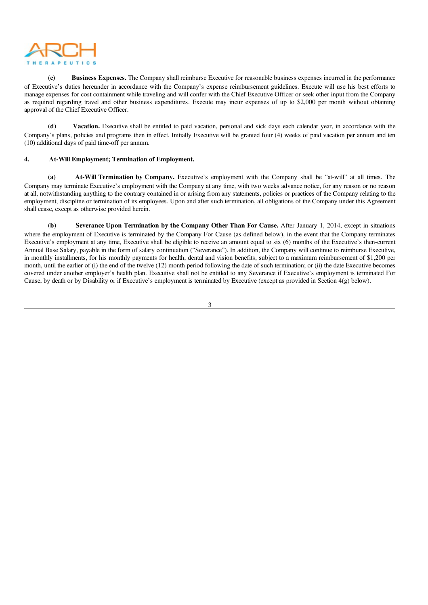

(c) Business Expenses. The Company shall reimburse Executive for reasonable business expenses incurred in the performance of Executive's duties hereunder in accordance with the Company's expense reimbursement guidelines. Execute will use his best efforts to manage expenses for cost containment while traveling and will confer with the Chief Executive Officer or seek other input from the Company as required regarding travel and other business expenditures. Execute may incur expenses of up to \$2,000 per month without obtaining approval of the Chief Executive Officer.

(d) Vacation. Executive shall be entitled to paid vacation, personal and sick days each calendar year, in accordance with the Company's plans, policies and programs then in effect. Initially Executive will be granted four (4) weeks of paid vacation per annum and ten (10) additional days of paid time-off per annum.

#### 4. At-Will Employment; Termination of Employment.

(a) At-Will Termination by Company. Executive's employment with the Company shall be "at-will" at all times. The Company may terminate Executive's employment with the Company at any time, with two weeks advance notice, for any reason or no reason at all, notwithstanding anything to the contrary contained in or arising from any statements, policies or practices of the Company relating to the employment, discipline or termination of its employees. Upon and after such termination, all obligations of the Company under this Agreement shall cease, except as otherwise provided herein.

(b) Severance Upon Termination by the Company Other Than For Cause. After January 1, 2014, except in situations where the employment of Executive is terminated by the Company For Cause (as defined below), in the event that the Company terminates Executive's employment at any time, Executive shall be eligible to receive an amount equal to six (6) months of the Executive's then-current Annual Base Salary, payable in the form of salary continuation ("Severance"). In addition, the Company will continue to reimburse Executive, in monthly installments, for his monthly payments for health, dental and vision benefits, subject to a maximum reimbursement of \$1,200 per month, until the earlier of (i) the end of the twelve (12) month period following the date of such termination; or (ii) the date Executive becomes covered under another employer's health plan. Executive shall not be entitled to any Severance if Executive's employment is terminated For Cause, by death or by Disability or if Executive's employment is terminated by Executive (except as provided in Section 4(g) below).

3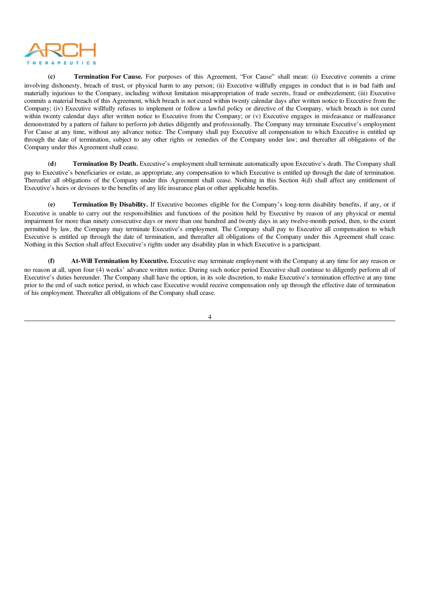

(c) Termination For Cause. For purposes of this Agreement, "For Cause" shall mean: (i) Executive commits a crime involving dishonesty, breach of trust, or physical harm to any person; (ii) Executive willfully engages in conduct that is in bad faith and materially injurious to the Company, including without limitation misappropriation of trade secrets, fraud or embezzlement; (iii) Executive commits a material breach of this Agreement, which breach is not cured within twenty calendar days after written notice to Executive from the Company; (iv) Executive willfully refuses to implement or follow a lawful policy or directive of the Company, which breach is not cured within twenty calendar days after written notice to Executive from the Company; or (v) Executive engages in misfeasance or malfeasance demonstrated by a pattern of failure to perform job duties diligently and professionally. The Company may terminate Executive's employment For Cause at any time, without any advance notice. The Company shall pay Executive all compensation to which Executive is entitled up through the date of termination, subject to any other rights or remedies of the Company under law; and thereafter all obligations of the Company under this Agreement shall cease.

(d) Termination By Death. Executive's employment shall terminate automatically upon Executive's death. The Company shall pay to Executive's beneficiaries or estate, as appropriate, any compensation to which Executive is entitled up through the date of termination. Thereafter all obligations of the Company under this Agreement shall cease. Nothing in this Section 4(d) shall affect any entitlement of Executive's heirs or devisees to the benefits of any life insurance plan or other applicable benefits.

(e) Termination By Disability. If Executive becomes eligible for the Company's long-term disability benefits, if any, or if Executive is unable to carry out the responsibilities and functions of the position held by Executive by reason of any physical or mental impairment for more than ninety consecutive days or more than one hundred and twenty days in any twelve-month period, then, to the extent permitted by law, the Company may terminate Executive's employment. The Company shall pay to Executive all compensation to which Executive is entitled up through the date of termination, and thereafter all obligations of the Company under this Agreement shall cease. Nothing in this Section shall affect Executive's rights under any disability plan in which Executive is a participant.

(f) At-Will Termination by Executive. Executive may terminate employment with the Company at any time for any reason or no reason at all, upon four (4) weeks' advance written notice. During such notice period Executive shall continue to diligently perform all of Executive's duties hereunder. The Company shall have the option, in its sole discretion, to make Executive's termination effective at any time prior to the end of such notice period, in which case Executive would receive compensation only up through the effective date of termination of his employment. Thereafter all obligations of the Company shall cease.

4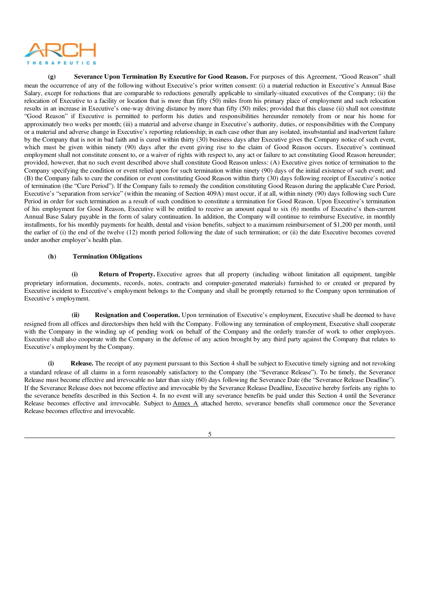

(g) Severance Upon Termination By Executive for Good Reason. For purposes of this Agreement, "Good Reason" shall mean the occurrence of any of the following without Executive's prior written consent: (i) a material reduction in Executive's Annual Base Salary, except for reductions that are comparable to reductions generally applicable to similarly-situated executives of the Company; (ii) the relocation of Executive to a facility or location that is more than fifty (50) miles from his primary place of employment and such relocation results in an increase in Executive's one-way driving distance by more than fifty (50) miles; provided that this clause (ii) shall not constitute "Good Reason" if Executive is permitted to perform his duties and responsibilities hereunder remotely from or near his home for approximately two weeks per month; (iii) a material and adverse change in Executive's authority, duties, or responsibilities with the Company or a material and adverse change in Executive's reporting relationship; in each case other than any isolated, insubstantial and inadvertent failure by the Company that is not in bad faith and is cured within thirty (30) business days after Executive gives the Company notice of such event, which must be given within ninety (90) days after the event giving rise to the claim of Good Reason occurs. Executive's continued employment shall not constitute consent to, or a waiver of rights with respect to, any act or failure to act constituting Good Reason hereunder; provided, however, that no such event described above shall constitute Good Reason unless: (A) Executive gives notice of termination to the Company specifying the condition or event relied upon for such termination within ninety (90) days of the initial existence of such event; and (B) the Company fails to cure the condition or event constituting Good Reason within thirty (30) days following receipt of Executive's notice of termination (the "Cure Period"). If the Company fails to remedy the condition constituting Good Reason during the applicable Cure Period, Executive's "separation from service" (within the meaning of Section 409A) must occur, if at all, within ninety (90) days following such Cure Period in order for such termination as a result of such condition to constitute a termination for Good Reason. Upon Executive's termination of his employment for Good Reason, Executive will be entitled to receive an amount equal to six (6) months of Executive's then-current Annual Base Salary payable in the form of salary continuation. In addition, the Company will continue to reimburse Executive, in monthly installments, for his monthly payments for health, dental and vision benefits, subject to a maximum reimbursement of \$1,200 per month, until the earlier of (i) the end of the twelve (12) month period following the date of such termination; or (ii) the date Executive becomes covered under another employer's health plan.

#### (h) Termination Obligations

(i) Return of Property. Executive agrees that all property (including without limitation all equipment, tangible proprietary information, documents, records, notes, contracts and computer-generated materials) furnished to or created or prepared by Executive incident to Executive's employment belongs to the Company and shall be promptly returned to the Company upon termination of Executive's employment.

(ii) Resignation and Cooperation. Upon termination of Executive's employment, Executive shall be deemed to have resigned from all offices and directorships then held with the Company. Following any termination of employment, Executive shall cooperate with the Company in the winding up of pending work on behalf of the Company and the orderly transfer of work to other employees. Executive shall also cooperate with the Company in the defense of any action brought by any third party against the Company that relates to Executive's employment by the Company.

(i) Release. The receipt of any payment pursuant to this Section 4 shall be subject to Executive timely signing and not revoking a standard release of all claims in a form reasonably satisfactory to the Company (the "Severance Release"). To be timely, the Severance Release must become effective and irrevocable no later than sixty (60) days following the Severance Date (the "Severance Release Deadline"). If the Severance Release does not become effective and irrevocable by the Severance Release Deadline, Executive hereby forfeits any rights to the severance benefits described in this Section 4. In no event will any severance benefits be paid under this Section 4 until the Severance Release becomes effective and irrevocable. Subject to Annex A attached hereto, severance benefits shall commence once the Severance Release becomes effective and irrevocable.

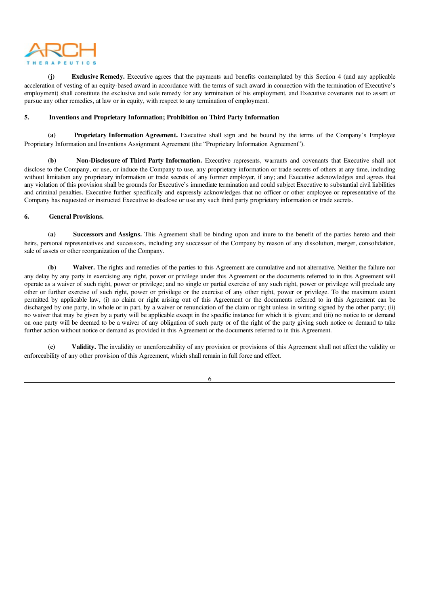

**Exclusive Remedy.** Executive agrees that the payments and benefits contemplated by this Section 4 (and any applicable acceleration of vesting of an equity-based award in accordance with the terms of such award in connection with the termination of Executive's employment) shall constitute the exclusive and sole remedy for any termination of his employment, and Executive covenants not to assert or pursue any other remedies, at law or in equity, with respect to any termination of employment.

#### 5. Inventions and Proprietary Information; Prohibition on Third Party Information

(a) Proprietary Information Agreement. Executive shall sign and be bound by the terms of the Company's Employee Proprietary Information and Inventions Assignment Agreement (the "Proprietary Information Agreement").

(b) Non-Disclosure of Third Party Information. Executive represents, warrants and covenants that Executive shall not disclose to the Company, or use, or induce the Company to use, any proprietary information or trade secrets of others at any time, including without limitation any proprietary information or trade secrets of any former employer, if any; and Executive acknowledges and agrees that any violation of this provision shall be grounds for Executive's immediate termination and could subject Executive to substantial civil liabilities and criminal penalties. Executive further specifically and expressly acknowledges that no officer or other employee or representative of the Company has requested or instructed Executive to disclose or use any such third party proprietary information or trade secrets.

#### 6. General Provisions.

(a) Successors and Assigns. This Agreement shall be binding upon and inure to the benefit of the parties hereto and their heirs, personal representatives and successors, including any successor of the Company by reason of any dissolution, merger, consolidation, sale of assets or other reorganization of the Company.

(b) Waiver. The rights and remedies of the parties to this Agreement are cumulative and not alternative. Neither the failure nor any delay by any party in exercising any right, power or privilege under this Agreement or the documents referred to in this Agreement will operate as a waiver of such right, power or privilege; and no single or partial exercise of any such right, power or privilege will preclude any other or further exercise of such right, power or privilege or the exercise of any other right, power or privilege. To the maximum extent permitted by applicable law, (i) no claim or right arising out of this Agreement or the documents referred to in this Agreement can be discharged by one party, in whole or in part, by a waiver or renunciation of the claim or right unless in writing signed by the other party; (ii) no waiver that may be given by a party will be applicable except in the specific instance for which it is given; and (iii) no notice to or demand on one party will be deemed to be a waiver of any obligation of such party or of the right of the party giving such notice or demand to take further action without notice or demand as provided in this Agreement or the documents referred to in this Agreement.

(c) Validity. The invalidity or unenforceability of any provision or provisions of this Agreement shall not affect the validity or enforceability of any other provision of this Agreement, which shall remain in full force and effect.

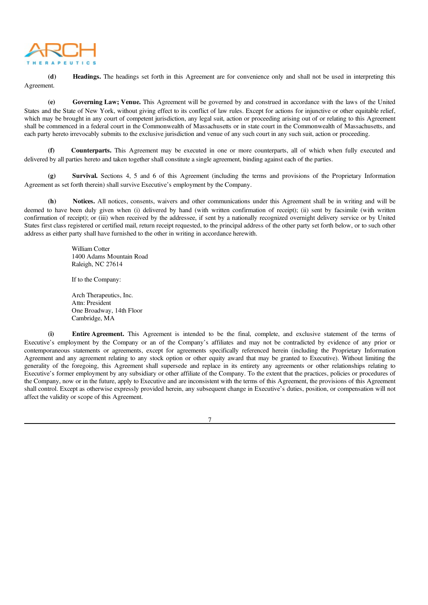

(d) Headings. The headings set forth in this Agreement are for convenience only and shall not be used in interpreting this Agreement.

(e) Governing Law; Venue. This Agreement will be governed by and construed in accordance with the laws of the United States and the State of New York, without giving effect to its conflict of law rules. Except for actions for injunctive or other equitable relief, which may be brought in any court of competent jurisdiction, any legal suit, action or proceeding arising out of or relating to this Agreement shall be commenced in a federal court in the Commonwealth of Massachusetts or in state court in the Commonwealth of Massachusetts, and each party hereto irrevocably submits to the exclusive jurisdiction and venue of any such court in any such suit, action or proceeding.

(f) Counterparts. This Agreement may be executed in one or more counterparts, all of which when fully executed and delivered by all parties hereto and taken together shall constitute a single agreement, binding against each of the parties.

(g) Survival. Sections 4, 5 and 6 of this Agreement (including the terms and provisions of the Proprietary Information Agreement as set forth therein) shall survive Executive's employment by the Company.

(h) Notices. All notices, consents, waivers and other communications under this Agreement shall be in writing and will be deemed to have been duly given when (i) delivered by hand (with written confirmation of receipt); (ii) sent by facsimile (with written confirmation of receipt); or (iii) when received by the addressee, if sent by a nationally recognized overnight delivery service or by United States first class registered or certified mail, return receipt requested, to the principal address of the other party set forth below, or to such other address as either party shall have furnished to the other in writing in accordance herewith.

> William Cotter 1400 Adams Mountain Road Raleigh, NC 27614

If to the Company:

Arch Therapeutics, Inc. Attn: President One Broadway, 14th Floor Cambridge, MA

(i) Entire Agreement. This Agreement is intended to be the final, complete, and exclusive statement of the terms of Executive's employment by the Company or an of the Company's affiliates and may not be contradicted by evidence of any prior or contemporaneous statements or agreements, except for agreements specifically referenced herein (including the Proprietary Information Agreement and any agreement relating to any stock option or other equity award that may be granted to Executive). Without limiting the generality of the foregoing, this Agreement shall supersede and replace in its entirety any agreements or other relationships relating to Executive's former employment by any subsidiary or other affiliate of the Company. To the extent that the practices, policies or procedures of the Company, now or in the future, apply to Executive and are inconsistent with the terms of this Agreement, the provisions of this Agreement shall control. Except as otherwise expressly provided herein, any subsequent change in Executive's duties, position, or compensation will not affect the validity or scope of this Agreement.

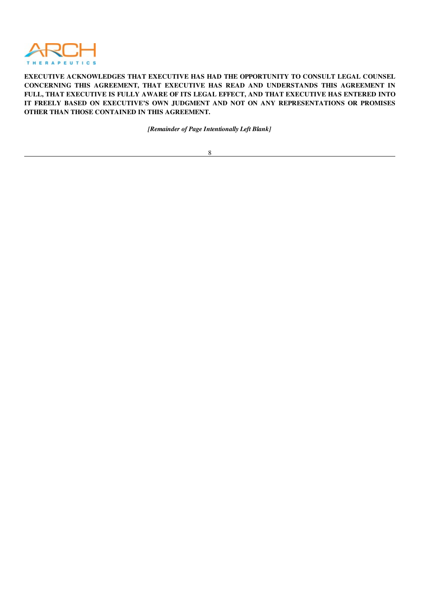

EXECUTIVE ACKNOWLEDGES THAT EXECUTIVE HAS HAD THE OPPORTUNITY TO CONSULT LEGAL COUNSEL CONCERNING THIS AGREEMENT, THAT EXECUTIVE HAS READ AND UNDERSTANDS THIS AGREEMENT IN FULL, THAT EXECUTIVE IS FULLY AWARE OF ITS LEGAL EFFECT, AND THAT EXECUTIVE HAS ENTERED INTO IT FREELY BASED ON EXECUTIVE'S OWN JUDGMENT AND NOT ON ANY REPRESENTATIONS OR PROMISES OTHER THAN THOSE CONTAINED IN THIS AGREEMENT.

*[Remainder of Page Intentionally Left Blank]*

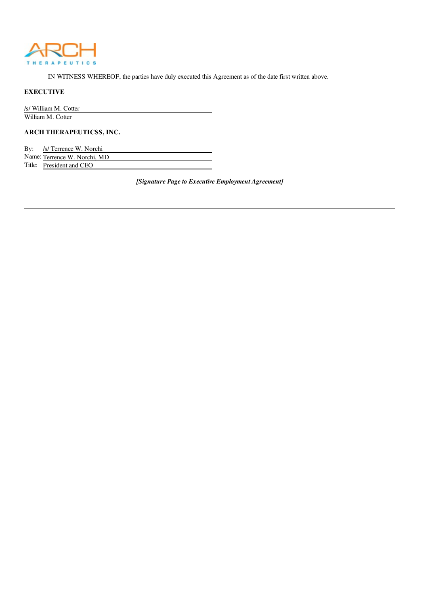

IN WITNESS WHEREOF, the parties have duly executed this Agreement as of the date first written above.

#### EXECUTIVE

/s/ William M. Cotter William M. Cotter

ARCH THERAPEUTICSS, INC.

| By: | /s/ Terrence W. Norchi       |
|-----|------------------------------|
|     | Name: Terrence W. Norchi, MD |
|     | Title: President and CEO     |

*[Signature Page to Executive Employment Agreement]*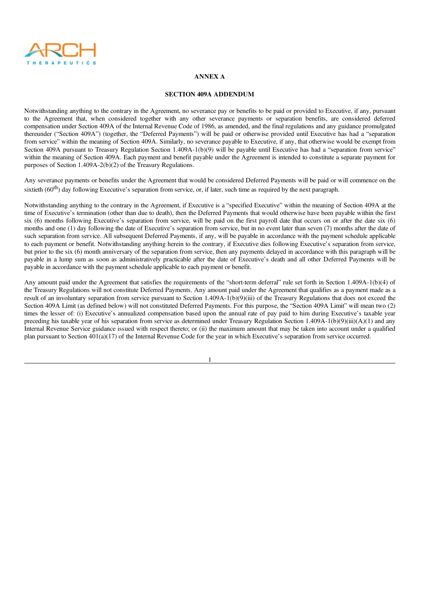

#### ANNEX A

#### SECTION 409A ADDENDUM

Notwithstanding anything to the contrary in the Agreement, no severance pay or benefits to be paid or provided to Executive, if any, pursuant to the Agreement that, when considered together with any other severance payments or separation benefits, are considered deferred compensation under Section 409A of the Internal Revenue Code of 1986, as amended, and the final regulations and any guidance promulgated thereunder ("Section 409A") (together, the "Deferred Payments") will be paid or otherwise provided until Executive has had a "separation from service" within the meaning of Section 409A. Similarly, no severance payable to Executive, if any, that otherwise would be exempt from Section 409A pursuant to Treasury Regulation Section 1.409A-1(b)(9) will be payable until Executive has had a "separation from service" within the meaning of Section 409A. Each payment and benefit payable under the Agreement is intended to constitute a separate payment for purposes of Section 1.409A-2(b)(2) of the Treasury Regulations.

Any severance payments or benefits under the Agreement that would be considered Deferred Payments will be paid or will commence on the sixtieth  $(60<sup>th</sup>)$  day following Executive's separation from service, or, if later, such time as required by the next paragraph.

Notwithstanding anything to the contrary in the Agreement, if Executive is a "specified Executive" within the meaning of Section 409A at the time of Executive's termination (other than due to death), then the Deferred Payments that would otherwise have been payable within the first six (6) months following Executive's separation from service, will be paid on the first payroll date that occurs on or after the date six (6) months and one (1) day following the date of Executive's separation from service, but in no event later than seven (7) months after the date of such separation from service. All subsequent Deferred Payments, if any, will be payable in accordance with the payment schedule applicable to each payment or benefit. Notwithstanding anything herein to the contrary, if Executive dies following Executive's separation from service, but prior to the six (6) month anniversary of the separation from service, then any payments delayed in accordance with this paragraph will be payable in a lump sum as soon as administratively practicable after the date of Executive's death and all other Deferred Payments will be payable in accordance with the payment schedule applicable to each payment or benefit.

Any amount paid under the Agreement that satisfies the requirements of the "short-term deferral" rule set forth in Section 1.409A-1(b)(4) of the Treasury Regulations will not constitute Deferred Payments. Any amount paid under the Agreement that qualifies as a payment made as a result of an involuntary separation from service pursuant to Section 1.409A-1(b)(9)(iii) of the Treasury Regulations that does not exceed the Section 409A Limit (as defined below) will not constituted Deferred Payments. For this purpose, the "Section 409A Limit" will mean two (2) times the lesser of: (i) Executive's annualized compensation based upon the annual rate of pay paid to him during Executive's taxable year preceding his taxable year of his separation from service as determined under Treasury Regulation Section 1.409A-1(b)(9)(iii)(A)(1) and any Internal Revenue Service guidance issued with respect thereto; or (ii) the maximum amount that may be taken into account under a qualified plan pursuant to Section 401(a)(17) of the Internal Revenue Code for the year in which Executive's separation from service occurred.

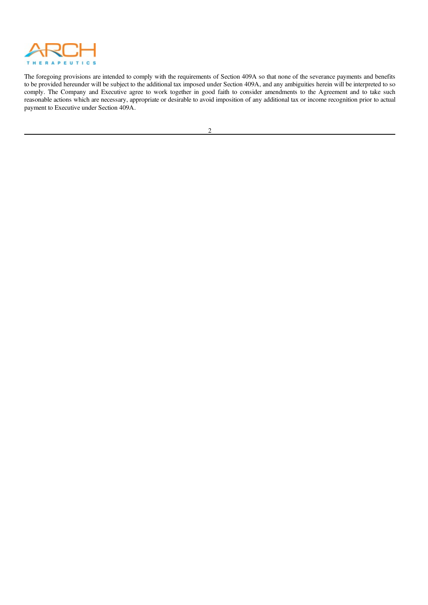

The foregoing provisions are intended to comply with the requirements of Section 409A so that none of the severance payments and benefits to be provided hereunder will be subject to the additional tax imposed under Section 409A, and any ambiguities herein will be interpreted to so comply. The Company and Executive agree to work together in good faith to consider amendments to the Agreement and to take such reasonable actions which are necessary, appropriate or desirable to avoid imposition of any additional tax or income recognition prior to actual payment to Executive under Section 409A.

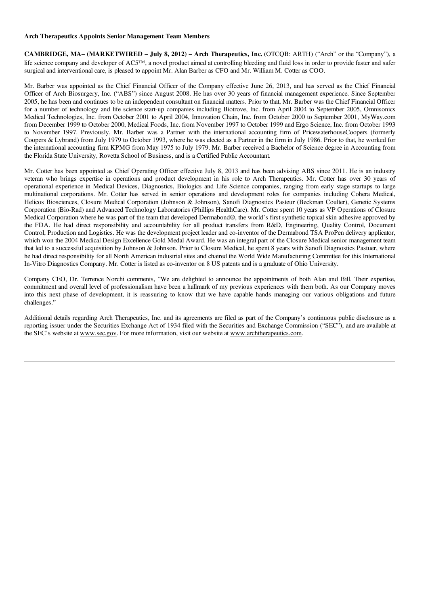#### Arch Therapeutics Appoints Senior Management Team Members

CAMBRIDGE, MA– (MARKETWIRED – July 8, 2012) – Arch Therapeutics, Inc. (OTCQB: ARTH) ("Arch" or the "Company"), a life science company and developer of AC5™, a novel product aimed at controlling bleeding and fluid loss in order to provide faster and safer surgical and interventional care, is pleased to appoint Mr. Alan Barber as CFO and Mr. William M. Cotter as COO.

Mr. Barber was appointed as the Chief Financial Officer of the Company effective June 26, 2013, and has served as the Chief Financial Officer of Arch Biosurgery, Inc. ("ABS") since August 2008. He has over 30 years of financial management experience. Since September 2005, he has been and continues to be an independent consultant on financial matters. Prior to that, Mr. Barber was the Chief Financial Officer for a number of technology and life science start-up companies including Biotrove, Inc. from April 2004 to September 2005, Omnisonics Medical Technologies, Inc. from October 2001 to April 2004, Innovation Chain, Inc. from October 2000 to September 2001, MyWay.com from December 1999 to October 2000, Medical Foods, Inc. from November 1997 to October 1999 and Ergo Science, Inc. from October 1993 to November 1997. Previously, Mr. Barber was a Partner with the international accounting firm of PricewaterhouseCoopers (formerly Coopers & Lybrand) from July 1979 to October 1993, where he was elected as a Partner in the firm in July 1986. Prior to that, he worked for the international accounting firm KPMG from May 1975 to July 1979. Mr. Barber received a Bachelor of Science degree in Accounting from the Florida State University, Rovetta School of Business, and is a Certified Public Accountant.

Mr. Cotter has been appointed as Chief Operating Officer effective July 8, 2013 and has been advising ABS since 2011. He is an industry veteran who brings expertise in operations and product development in his role to Arch Therapeutics. Mr. Cotter has over 30 years of operational experience in Medical Devices, Diagnostics, Biologics and Life Science companies, ranging from early stage startups to large multinational corporations. Mr. Cotter has served in senior operations and development roles for companies including Cohera Medical, Helicos Biosciences, Closure Medical Corporation (Johnson & Johnson), Sanofi Diagnostics Pasteur (Beckman Coulter), Genetic Systems Corporation (Bio-Rad) and Advanced Technology Laboratories (Phillips HealthCare). Mr. Cotter spent 10 years as VP Operations of Closure Medical Corporation where he was part of the team that developed Dermabond®, the world's first synthetic topical skin adhesive approved by the FDA. He had direct responsibility and accountability for all product transfers from R&D, Engineering, Quality Control, Document Control, Production and Logistics. He was the development project leader and co-inventor of the Dermabond TSA ProPen delivery applicator, which won the 2004 Medical Design Excellence Gold Medal Award. He was an integral part of the Closure Medical senior management team that led to a successful acquisition by Johnson & Johnson. Prior to Closure Medical, he spent 8 years with Sanofi Diagnostics Pastuer, where he had direct responsibility for all North American industrial sites and chaired the World Wide Manufacturing Committee for this International In-Vitro Diagnostics Company. Mr. Cotter is listed as co-inventor on 8 US patents and is a graduate of Ohio University.

Company CEO, Dr. Terrence Norchi comments, "We are delighted to announce the appointments of both Alan and Bill. Their expertise, commitment and overall level of professionalism have been a hallmark of my previous experiences with them both. As our Company moves into this next phase of development, it is reassuring to know that we have capable hands managing our various obligations and future challenges."

Additional details regarding Arch Therapeutics, Inc. and its agreements are filed as part of the Company's continuous public disclosure as a reporting issuer under the Securities Exchange Act of 1934 filed with the Securities and Exchange Commission ("SEC"), and are available at the SEC's website at www.sec.gov. For more information, visit our website at www.archtherapeutics.com.